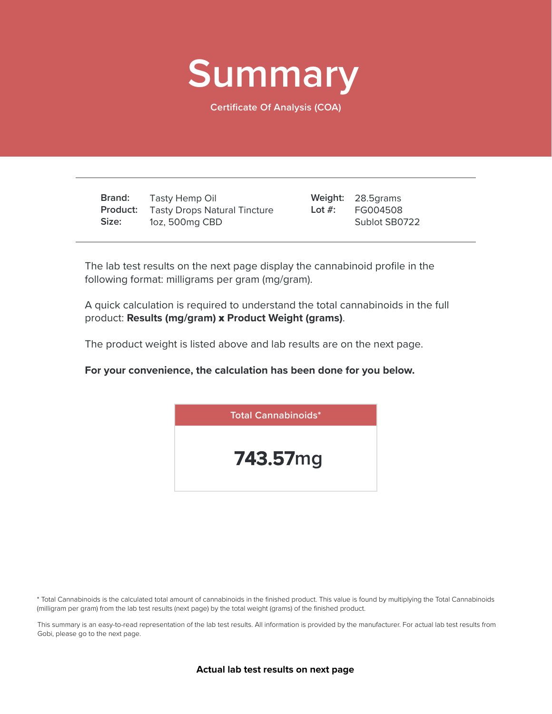

**Certificate Of Analysis (COA)**

**Brand: Product:** Tasty Drops Natural Tincture **Size:** Tasty Hemp Oil 1oz, 500mg CBD

28.5grams **Weight:** FG004508 Sublot SB0722 **Lot #:**

The lab test results on the next page display the cannabinoid profile in the following format: milligrams per gram (mg/gram).

A quick calculation is required to understand the total cannabinoids in the full product: **Results (mg/gram)** x **Product Weight (grams)**.

The product weight is listed above and lab results are on the next page.

**For your convenience, the calculation has been done for you below.**



\* Total Cannabinoids is the calculated total amount of cannabinoids in the finished product. This value is found by multiplying the Total Cannabinoids (milligram per gram) from the lab test results (next page) by the total weight (grams) of the finished product.

This summary is an easy-to-read representation of the lab test results. All information is provided by the manufacturer. For actual lab test results from Gobi, please go to the next page.